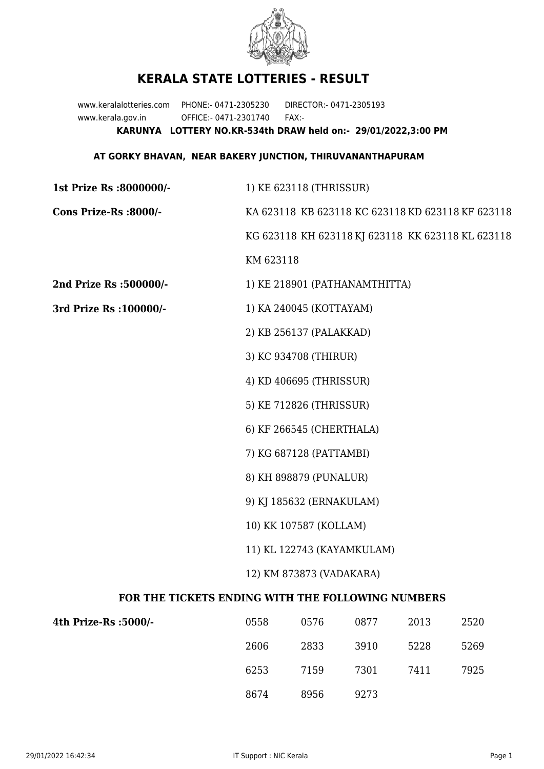

## **KERALA STATE LOTTERIES - RESULT**

www.keralalotteries.com PHONE:- 0471-2305230 DIRECTOR:- 0471-2305193 www.kerala.gov.in OFFICE:- 0471-2301740 FAX:- **KARUNYA LOTTERY NO.KR-534th DRAW held on:- 29/01/2022,3:00 PM**

## **AT GORKY BHAVAN, NEAR BAKERY JUNCTION, THIRUVANANTHAPURAM**

| 1st Prize Rs :8000000/-                           | 1) KE 623118 (THRISSUR)                           |                               |      |       |                                                   |  |
|---------------------------------------------------|---------------------------------------------------|-------------------------------|------|-------|---------------------------------------------------|--|
| Cons Prize-Rs :8000/-                             | KA 623118 KB 623118 KC 623118 KD 623118 KF 623118 |                               |      |       |                                                   |  |
|                                                   |                                                   |                               |      |       | KG 623118 KH 623118 KJ 623118 KK 623118 KL 623118 |  |
|                                                   | KM 623118                                         |                               |      |       |                                                   |  |
| 2nd Prize Rs :500000/-                            |                                                   | 1) KE 218901 (PATHANAMTHITTA) |      |       |                                                   |  |
| 3rd Prize Rs : 100000/-                           | 1) KA 240045 (KOTTAYAM)                           |                               |      |       |                                                   |  |
|                                                   |                                                   | 2) KB 256137 (PALAKKAD)       |      |       |                                                   |  |
|                                                   | 3) KC 934708 (THIRUR)                             |                               |      |       |                                                   |  |
|                                                   | 4) KD 406695 (THRISSUR)                           |                               |      |       |                                                   |  |
|                                                   |                                                   | 5) KE 712826 (THRISSUR)       |      |       |                                                   |  |
|                                                   |                                                   | 6) KF 266545 (CHERTHALA)      |      |       |                                                   |  |
|                                                   | 7) KG 687128 (PATTAMBI)                           |                               |      |       |                                                   |  |
|                                                   | 8) KH 898879 (PUNALUR)                            |                               |      |       |                                                   |  |
|                                                   | 9) KJ 185632 (ERNAKULAM)                          |                               |      |       |                                                   |  |
|                                                   | 10) KK 107587 (KOLLAM)                            |                               |      |       |                                                   |  |
|                                                   | 11) KL 122743 (KAYAMKULAM)                        |                               |      |       |                                                   |  |
|                                                   | 12) KM 873873 (VADAKARA)                          |                               |      |       |                                                   |  |
| FOR THE TICKETS ENDING WITH THE FOLLOWING NUMBERS |                                                   |                               |      |       |                                                   |  |
| 4th Prize-Rs :5000/-                              | 0558                                              | 0576                          | 0877 | 2013  | 2520                                              |  |
|                                                   | ገርሰር                                              | רכסר                          | 2010 | EDD 0 | 5000                                              |  |

| 2606 | 2833 | 3910 | 5228 | 5269 |
|------|------|------|------|------|
| 6253 | 7159 | 7301 | 7411 | 7925 |
| 8674 | 8956 | 9273 |      |      |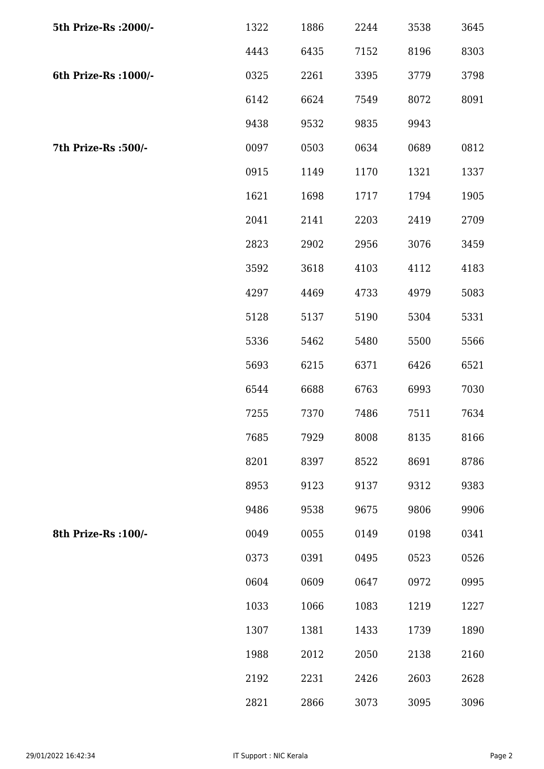| 5th Prize-Rs : 2000/- | 1322 | 1886 | 2244 | 3538 | 3645 |
|-----------------------|------|------|------|------|------|
|                       | 4443 | 6435 | 7152 | 8196 | 8303 |
| 6th Prize-Rs : 1000/- | 0325 | 2261 | 3395 | 3779 | 3798 |
|                       | 6142 | 6624 | 7549 | 8072 | 8091 |
|                       | 9438 | 9532 | 9835 | 9943 |      |
| 7th Prize-Rs :500/-   | 0097 | 0503 | 0634 | 0689 | 0812 |
|                       | 0915 | 1149 | 1170 | 1321 | 1337 |
|                       | 1621 | 1698 | 1717 | 1794 | 1905 |
|                       | 2041 | 2141 | 2203 | 2419 | 2709 |
|                       | 2823 | 2902 | 2956 | 3076 | 3459 |
|                       | 3592 | 3618 | 4103 | 4112 | 4183 |
|                       | 4297 | 4469 | 4733 | 4979 | 5083 |
|                       | 5128 | 5137 | 5190 | 5304 | 5331 |
|                       | 5336 | 5462 | 5480 | 5500 | 5566 |
|                       | 5693 | 6215 | 6371 | 6426 | 6521 |
|                       | 6544 | 6688 | 6763 | 6993 | 7030 |
|                       | 7255 | 7370 | 7486 | 7511 | 7634 |
|                       | 7685 | 7929 | 8008 | 8135 | 8166 |
|                       | 8201 | 8397 | 8522 | 8691 | 8786 |
|                       | 8953 | 9123 | 9137 | 9312 | 9383 |
|                       | 9486 | 9538 | 9675 | 9806 | 9906 |
| 8th Prize-Rs : 100/-  | 0049 | 0055 | 0149 | 0198 | 0341 |
|                       | 0373 | 0391 | 0495 | 0523 | 0526 |
|                       | 0604 | 0609 | 0647 | 0972 | 0995 |
|                       | 1033 | 1066 | 1083 | 1219 | 1227 |
|                       | 1307 | 1381 | 1433 | 1739 | 1890 |
|                       | 1988 | 2012 | 2050 | 2138 | 2160 |
|                       | 2192 | 2231 | 2426 | 2603 | 2628 |
|                       | 2821 | 2866 | 3073 | 3095 | 3096 |